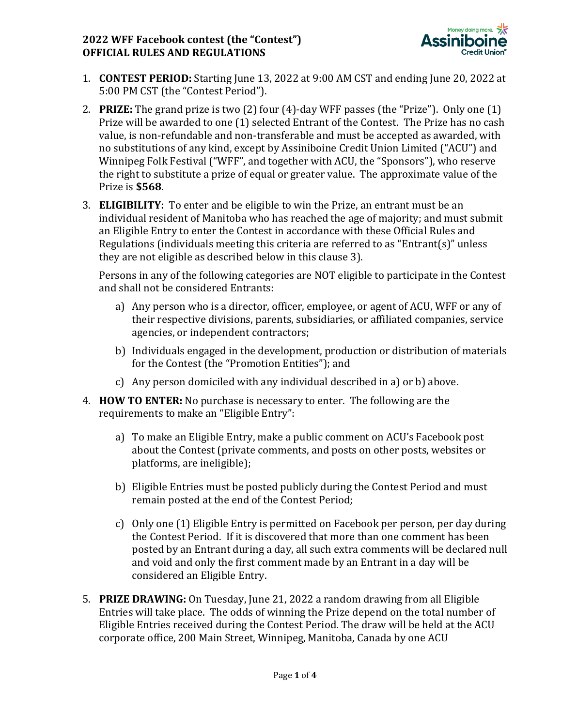## **2022 WFF Facebook contest (the "Contest") OFFICIAL RULES AND REGULATIONS**



- 1. **CONTEST PERIOD:** Starting June 13, 2022 at 9:00 AM CST and ending June 20, 2022 at 5:00 PM CST (the "Contest Period").
- 2. **PRIZE:** The grand prize is two (2) four (4)-day WFF passes (the "Prize"). Only one (1) Prize will be awarded to one (1) selected Entrant of the Contest. The Prize has no cash value, is non-refundable and non-transferable and must be accepted as awarded, with no substitutions of any kind, except by Assiniboine Credit Union Limited ("ACU") and Winnipeg Folk Festival ("WFF", and together with ACU, the "Sponsors"), who reserve the right to substitute a prize of equal or greater value. The approximate value of the Prize is **\$568**.
- 3. **ELIGIBILITY:** To enter and be eligible to win the Prize, an entrant must be an individual resident of Manitoba who has reached the age of majority; and must submit an Eligible Entry to enter the Contest in accordance with these Official Rules and Regulations (individuals meeting this criteria are referred to as "Entrant(s)" unless they are not eligible as described below in this clause 3).

Persons in any of the following categories are NOT eligible to participate in the Contest and shall not be considered Entrants:

- a) Any person who is a director, officer, employee, or agent of ACU, WFF or any of their respective divisions, parents, subsidiaries, or affiliated companies, service agencies, or independent contractors;
- b) Individuals engaged in the development, production or distribution of materials for the Contest (the "Promotion Entities"); and
- c) Any person domiciled with any individual described in a) or b) above.
- 4. **HOW TO ENTER:** No purchase is necessary to enter. The following are the requirements to make an "Eligible Entry":
	- a) To make an Eligible Entry, make a public comment on ACU's Facebook post about the Contest (private comments, and posts on other posts, websites or platforms, are ineligible);
	- b) Eligible Entries must be posted publicly during the Contest Period and must remain posted at the end of the Contest Period;
	- c) Only one (1) Eligible Entry is permitted on Facebook per person, per day during the Contest Period. If it is discovered that more than one comment has been posted by an Entrant during a day, all such extra comments will be declared null and void and only the first comment made by an Entrant in a day will be considered an Eligible Entry.
- 5. **PRIZE DRAWING:** On Tuesday, June 21, 2022 a random drawing from all Eligible Entries will take place. The odds of winning the Prize depend on the total number of Eligible Entries received during the Contest Period. The draw will be held at the ACU corporate office, 200 Main Street, Winnipeg, Manitoba, Canada by one ACU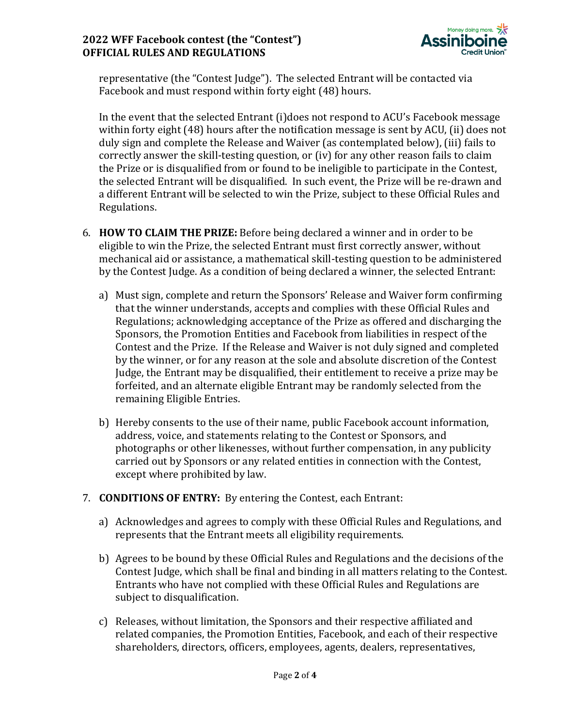## **2022 WFF Facebook contest (the "Contest") OFFICIAL RULES AND REGULATIONS**



representative (the "Contest Judge"). The selected Entrant will be contacted via Facebook and must respond within forty eight (48) hours.

In the event that the selected Entrant (i)does not respond to ACU's Facebook message within forty eight (48) hours after the notification message is sent by ACU, (ii) does not duly sign and complete the Release and Waiver (as contemplated below), (iii) fails to correctly answer the skill-testing question, or (iv) for any other reason fails to claim the Prize or is disqualified from or found to be ineligible to participate in the Contest, the selected Entrant will be disqualified. In such event, the Prize will be re-drawn and a different Entrant will be selected to win the Prize, subject to these Official Rules and Regulations.

- 6. **HOW TO CLAIM THE PRIZE:** Before being declared a winner and in order to be eligible to win the Prize, the selected Entrant must first correctly answer, without mechanical aid or assistance, a mathematical skill-testing question to be administered by the Contest Judge. As a condition of being declared a winner, the selected Entrant:
	- a) Must sign, complete and return the Sponsors' Release and Waiver form confirming that the winner understands, accepts and complies with these Official Rules and Regulations; acknowledging acceptance of the Prize as offered and discharging the Sponsors, the Promotion Entities and Facebook from liabilities in respect of the Contest and the Prize. If the Release and Waiver is not duly signed and completed by the winner, or for any reason at the sole and absolute discretion of the Contest Judge, the Entrant may be disqualified, their entitlement to receive a prize may be forfeited, and an alternate eligible Entrant may be randomly selected from the remaining Eligible Entries.
	- b) Hereby consents to the use of their name, public Facebook account information, address, voice, and statements relating to the Contest or Sponsors, and photographs or other likenesses, without further compensation, in any publicity carried out by Sponsors or any related entities in connection with the Contest, except where prohibited by law.
- 7. **CONDITIONS OF ENTRY:** By entering the Contest, each Entrant:
	- a) Acknowledges and agrees to comply with these Official Rules and Regulations, and represents that the Entrant meets all eligibility requirements.
	- b) Agrees to be bound by these Official Rules and Regulations and the decisions of the Contest Judge, which shall be final and binding in all matters relating to the Contest. Entrants who have not complied with these Official Rules and Regulations are subject to disqualification.
	- c) Releases, without limitation, the Sponsors and their respective affiliated and related companies, the Promotion Entities, Facebook, and each of their respective shareholders, directors, officers, employees, agents, dealers, representatives,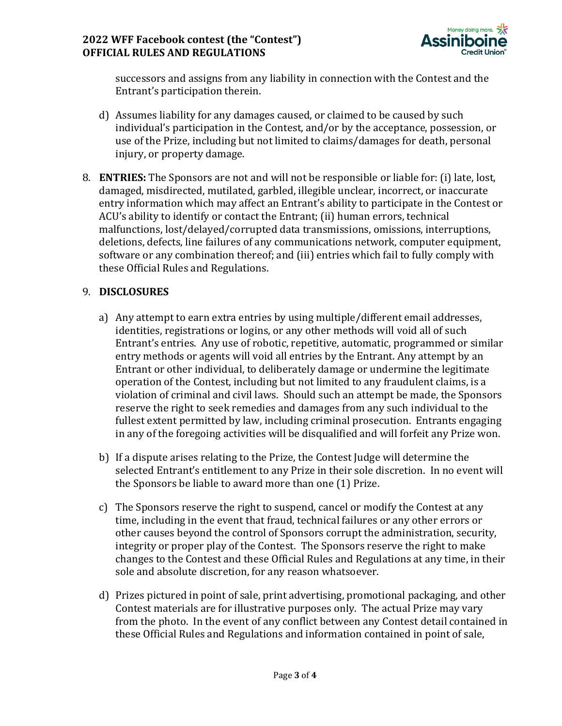

successors and assigns from any liability in connection with the Contest and the Entrant's participation therein.

- d) Assumes liability for any damages caused, or claimed to be caused by such individual's participation in the Contest, and/or by the acceptance, possession, or use of the Prize, including but not limited to claims/damages for death, personal injury, or property damage.
- 8. **ENTRIES:** The Sponsors are not and will not be responsible or liable for: (i) late, lost, damaged, misdirected, mutilated, garbled, illegible unclear, incorrect, or inaccurate entry information which may affect an Entrant's ability to participate in the Contest or ACU's ability to identify or contact the Entrant; (ii) human errors, technical malfunctions, lost/delayed/corrupted data transmissions, omissions, interruptions, deletions, defects, line failures of any communications network, computer equipment, software or any combination thereof; and (iii) entries which fail to fully comply with these Official Rules and Regulations.

## 9. **DISCLOSURES**

- a) Any attempt to earn extra entries by using multiple/different email addresses, identities, registrations or logins, or any other methods will void all of such Entrant's entries. Any use of robotic, repetitive, automatic, programmed or similar entry methods or agents will void all entries by the Entrant. Any attempt by an Entrant or other individual, to deliberately damage or undermine the legitimate operation of the Contest, including but not limited to any fraudulent claims, is a violation of criminal and civil laws. Should such an attempt be made, the Sponsors reserve the right to seek remedies and damages from any such individual to the fullest extent permitted by law, including criminal prosecution. Entrants engaging in any of the foregoing activities will be disqualified and will forfeit any Prize won.
- b) If a dispute arises relating to the Prize, the Contest Judge will determine the selected Entrant's entitlement to any Prize in their sole discretion. In no event will the Sponsors be liable to award more than one (1) Prize.
- c) The Sponsors reserve the right to suspend, cancel or modify the Contest at any time, including in the event that fraud, technical failures or any other errors or other causes beyond the control of Sponsors corrupt the administration, security, integrity or proper play of the Contest. The Sponsors reserve the right to make changes to the Contest and these Official Rules and Regulations at any time, in their sole and absolute discretion, for any reason whatsoever.
- d) Prizes pictured in point of sale, print advertising, promotional packaging, and other Contest materials are for illustrative purposes only. The actual Prize may vary from the photo. In the event of any conflict between any Contest detail contained in these Official Rules and Regulations and information contained in point of sale,